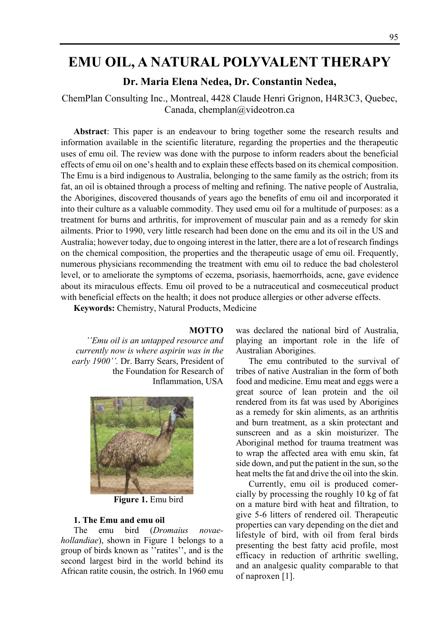# **EMU OIL, A NATURAL POLYVALENT THERAPY**

# **Dr. Maria Elena Nedea, Dr. Constantin Nedea,**

ChemPlan Consulting Inc., Montreal, 4428 Claude Henri Grignon, H4R3C3, Quebec, Canada, chemplan@videotron.ca

**Abstract**: This paper is an endeavour to bring together some the research results and information available in the scientific literature, regarding the properties and the therapeutic uses of emu oil. The review was done with the purpose to inform readers about the beneficial effects of emu oil on one's health and to explain these effects based on its chemical composition. The Emu is a bird indigenous to Australia, belonging to the same family as the ostrich; from its fat, an oil is obtained through a process of melting and refining. The native people of Australia, the Aborigines, discovered thousands of years ago the benefits of emu oil and incorporated it into their culture as a valuable commodity. They used emu oil for a multitude of purposes: as a treatment for burns and arthritis, for improvement of muscular pain and as a remedy for skin ailments. Prior to 1990, very little research had been done on the emu and its oil in the US and Australia; however today, due to ongoing interest in the latter, there are a lot of research findings on the chemical composition, the properties and the therapeutic usage of emu oil. Frequently, numerous physicians recommending the treatment with emu oil to reduce the bad cholesterol level, or to ameliorate the symptoms of eczema, psoriasis, haemorrhoids, acne, gave evidence about its miraculous effects. Emu oil proved to be a nutraceutical and cosmeceutical product with beneficial effects on the health; it does not produce allergies or other adverse effects.

**Keywords:** Chemistry, Natural Products, Medicine

#### **MOTTO**

*''Emu oil is an untapped resource and currently now is where aspirin was in the early 1900''.* Dr. Barry Sears, President of the Foundation for Research of Inflammation, USA



**Figure 1.** Emu bird

#### **1. The Emu and emu oil**

The emu bird (*Dromaius novaehollandiae*), shown in Figure 1 belongs to a group of birds known as ''ratites'', and is the second largest bird in the world behind its African ratite cousin, the ostrich. In 1960 emu was declared the national bird of Australia, playing an important role in the life of Australian Aborigines.

The emu contributed to the survival of tribes of native Australian in the form of both food and medicine. Emu meat and eggs were a great source of lean protein and the oil rendered from its fat was used by Aborigines as a remedy for skin aliments, as an arthritis and burn treatment, as a skin protectant and sunscreen and as a skin moisturizer. The Aboriginal method for trauma treatment was to wrap the affected area with emu skin, fat side down, and put the patient in the sun, so the heat melts the fat and drive the oil into the skin.

Currently, emu oil is produced comercially by processing the roughly 10 kg of fat on a mature bird with heat and filtration, to give 5-6 litters of rendered oil. Therapeutic properties can vary depending on the diet and lifestyle of bird, with oil from feral birds presenting the best fatty acid profile, most efficacy in reduction of arthritic swelling, and an analgesic quality comparable to that of naproxen [1].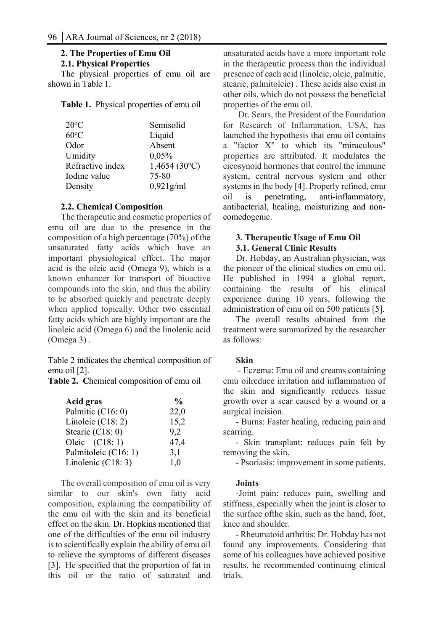# **2. The Properties of Emu Oil 2.1. Physical Properties**

The physical properties of emu oil are shown in Table 1.

**Table 1.** Physical properties of emu oil

| $20^{\circ}$ C   | Semisolid    |
|------------------|--------------|
| $60^{\circ}$ C   | Liquid       |
| Odor             | Absent       |
| Umidity          | 0,05%        |
| Refractive index | 1,4654(30°C) |
| Iodine value     | 75-80        |
| Density          | $0,921$ g/ml |

# **2.2. Chemical Composition**

The therapeutic and cosmetic properties of emu oil are due to the presence in the composition of a high percentage (70%) of the unsaturated fatty acids which have an important physiological effect. The major acid is the oleic acid (Omega 9), which is a known enhancer for transport of bioactive compounds into the skin, and thus the ability to be absorbed quickly and penetrate deeply when applied topically. Other two essential fatty acids which are highly important are the linoleic acid (Omega 6) and the linolenic acid (Omega 3) .

Table 2 indicates the chemical composition of emu oil [2].

**Table 2. C**hemical composition of emu oil

| Palmitic (C16: 0)           | 22,0 |
|-----------------------------|------|
| Linoleic $(C18: 2)$         | 15,2 |
| Stearic $(C18:0)$<br>9.2    |      |
| Oleic $(C18:1)$             | 47,4 |
| Palmitoleic (C16: 1)<br>3,1 |      |
| Linolenic (C18: 3)<br>1.0   |      |

The overall composition of emu oil is very similar to our skin's own fatty acid composition, explaining the compatibility of the emu oil with the skin and its beneficial effect on the skin. Dr. Hopkins mentioned that one of the difficulties of the emu oil industry is to scientifically explain the ability of emu oil to relieve the symptoms of different diseases [3]. He specified that the proportion of fat in this oil or the ratio of saturated and

unsaturated acids have a more important role in the therapeutic process than the individual presence of each acid (linoleic, oleic, palmitic, stearic, palmitoleic) . These acids also exist in other oils, which do not possess the beneficial properties of the emu oil.

 Dr. Sears, the President of the Foundation for Research of Inflammation, USA, has launched the hypothesis that emu oil contains a "factor X" to which its "miraculous" properties are attributed. It modulates the eicosynoid hormones that control the immune system, central nervous system and other systems in the body [4]. Properly refined, emu oil is penetrating, anti-inflammatory, antibacterial, healing, moisturizing and noncomedogenic.

## **3. Therapeutic Usage of Emu Oil 3.1. General Clinic Results**

Dr. Hobday, an Australian physician, was the pioneer of the clinical studies on emu oil. He published in 1994 a global report, containing the results of his clinical experience during 10 years, following the administration of emu oil on 500 patients [5].

The overall results obtained from the treatment were summarized by the researcher as follows:

## **Skin**

 - Eczema: Emu oil and creams containing emu oilreduce irritation and inflammation of the skin and significantly reduces tissue growth over a scar caused by a wound or a surgical incision.

- Burns: Faster healing, reducing pain and scarring.

- Skin transplant: reduces pain felt by removing the skin.

- Psoriasis: improvement in some patients.

## **Joints**

-Joint pain: reduces pain, swelling and stiffness, especially when the joint is closer to the surface ofthe skin, such as the hand, foot, knee and shoulder.

- Rheumatoid arthritis: Dr. Hobday has not found any improvements. Considering that some of his colleagues have achieved positive results, he recommended continuing clinical trials.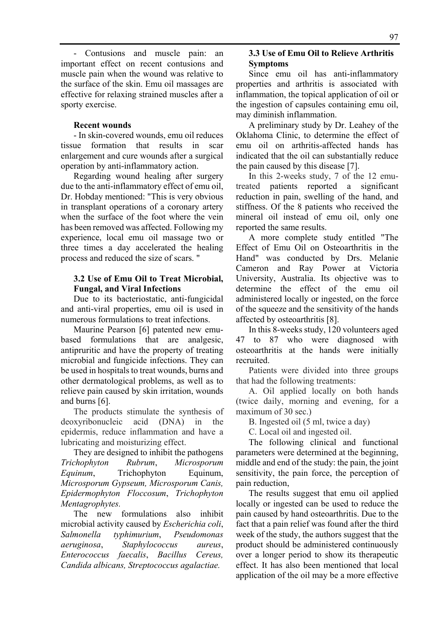- Contusions and muscle pain: an important effect on recent contusions and muscle pain when the wound was relative to the surface of the skin. Emu oil massages are effective for relaxing strained muscles after a sporty exercise.

### **Recent wounds**

- In skin-covered wounds, emu oil reduces tissue formation that results in scar enlargement and cure wounds after a surgical operation by anti-inflammatory action.

Regarding wound healing after surgery due to the anti-inflammatory effect of emu oil, Dr. Hobday mentioned: "This is very obvious in transplant operations of a coronary artery when the surface of the foot where the vein has been removed was affected. Following my experience, local emu oil massage two or three times a day accelerated the healing process and reduced the size of scars. "

## **3.2 Use of Emu Oil to Treat Microbial, Fungal, and Viral Infections**

Due to its bacteriostatic, anti-fungicidal and anti-viral properties, emu oil is used in numerous formulations to treat infections.

Maurine Pearson [6] patented new emubased formulations that are analgesic, antipruritic and have the property of treating microbial and fungicide infections. They can be used in hospitals to treat wounds, burns and other dermatological problems, as well as to relieve pain caused by skin irritation, wounds and burns [6].

The products stimulate the synthesis of deoxyribonucleic acid (DNA) in the epidermis, reduce inflammation and have a lubricating and moisturizing effect.

They are designed to inhibit the pathogens *Trichophyton Rubrum*, *Microsporum Equinum*, Trichophyton Equinum, *Microsporum Gypseum, Microsporum Canis, Epidermophyton Floccosum*, *Trichophyton Mentagrophytes.* 

The new formulations also inhibit microbial activity caused by *Escherichia coli*, *Salmonella typhimurium*, *Pseudomonas aeruginosa*, *Staphylococcus aureus*, *Enterococcus faecalis*, *Bacillus Cereus, Candida albicans, Streptococcus agalactiae.* 

# **3.3 Use of Emu Oil to Relieve Arthritis Symptoms**

Since emu oil has anti-inflammatory properties and arthritis is associated with inflammation, the topical application of oil or the ingestion of capsules containing emu oil, may diminish inflammation.

A preliminary study by Dr. Leahey of the Oklahoma Clinic, to determine the effect of emu oil on arthritis-affected hands has indicated that the oil can substantially reduce the pain caused by this disease [7].

In this 2-weeks study, 7 of the 12 emutreated patients reported a significant reduction in pain, swelling of the hand, and stiffness. Of the 8 patients who received the mineral oil instead of emu oil, only one reported the same results.

A more complete study entitled "The Effect of Emu Oil on Osteoarthritis in the Hand" was conducted by Drs. Melanie Cameron and Ray Power at Victoria University, Australia. Its objective was to determine the effect of the emu oil administered locally or ingested, on the force of the squeeze and the sensitivity of the hands affected by osteoarthritis [8].

In this 8-weeks study, 120 volunteers aged 47 to 87 who were diagnosed with osteoarthritis at the hands were initially recruited.

Patients were divided into three groups that had the following treatments:

A. Oil applied locally on both hands (twice daily, morning and evening, for a maximum of 30 sec.)

B. Ingested oil (5 ml, twice a day)

C. Local oil and ingested oil.

The following clinical and functional parameters were determined at the beginning, middle and end of the study: the pain, the joint sensitivity, the pain force, the perception of pain reduction,

The results suggest that emu oil applied locally or ingested can be used to reduce the pain caused by hand osteoarthritis. Due to the fact that a pain relief was found after the third week of the study, the authors suggest that the product should be administered continuously over a longer period to show its therapeutic effect. It has also been mentioned that local application of the oil may be a more effective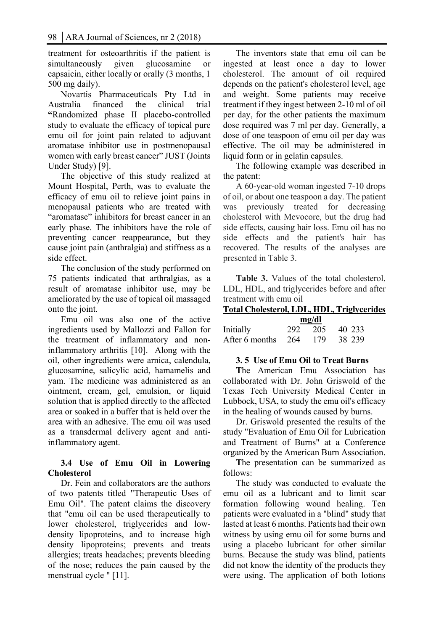treatment for osteoarthritis if the patient is simultaneously given glucosamine or capsaicin, either locally or orally (3 months, 1 500 mg daily).

Novartis Pharmaceuticals Pty Ltd in Australia financed the clinical trial **"**Randomized phase II placebo-controlled study to evaluate the efficacy of topical pure emu oil for joint pain related to adjuvant aromatase inhibitor use in postmenopausal women with early breast cancer" JUST (Joints Under Study) [9].

The objective of this study realized at Mount Hospital, Perth, was to evaluate the efficacy of emu oil to relieve joint pains in menopausal patients who are treated with "aromatase" inhibitors for breast cancer in an early phase. The inhibitors have the role of preventing cancer reappearance, but they cause joint pain (anthralgia) and stiffness as a side effect.

The conclusion of the study performed on 75 patients indicated that arthralgias, as a result of aromatase inhibitor use, may be ameliorated by the use of topical oil massaged onto the joint.

Emu oil was also one of the active ingredients used by Mallozzi and Fallon for the treatment of inflammatory and noninflammatory arthritis [10]. Along with the oil, other ingredients were arnica, calendula, glucosamine, salicylic acid, hamamelis and yam. The medicine was administered as an ointment, cream, gel, emulsion, or liquid solution that is applied directly to the affected area or soaked in a buffer that is held over the area with an adhesive. The emu oil was used as a transdermal delivery agent and antiinflammatory agent.

# **3.4 Use of Emu Oil in Lowering Cholesterol**

Dr. Fein and collaborators are the authors of two patents titled "Therapeutic Uses of Emu Oil". The patent claims the discovery that "emu oil can be used therapeutically to lower cholesterol, triglycerides and lowdensity lipoproteins, and to increase high density lipoproteins; prevents and treats allergies; treats headaches; prevents bleeding of the nose; reduces the pain caused by the menstrual cycle " [11].

The inventors state that emu oil can be ingested at least once a day to lower cholesterol. The amount of oil required depends on the patient's cholesterol level, age and weight. Some patients may receive treatment if they ingest between 2-10 ml of oil per day, for the other patients the maximum dose required was 7 ml per day. Generally, a dose of one teaspoon of emu oil per day was effective. The oil may be administered in liquid form or in gelatin capsules.

The following example was described in the patent:

A 60-year-old woman ingested 7-10 drops of oil, or about one teaspoon a day. The patient was previously treated for decreasing cholesterol with Mevocore, but the drug had side effects, causing hair loss. Emu oil has no side effects and the patient's hair has recovered. The results of the analyses are presented in Table 3.

**Table 3.** Values of the total cholesterol, LDL, HDL, and triglycerides before and after treatment with emu oil

| <b>Total Cholesterol, LDL, HDL, Triglycerides</b> |     |         |        |  |  |
|---------------------------------------------------|-----|---------|--------|--|--|
| mg/dl                                             |     |         |        |  |  |
| Initially                                         |     | 292 205 | 40 233 |  |  |
| After 6 months                                    | 264 | 179     | 38 239 |  |  |

## **3. 5 Use of Emu Oil to Treat Burns**

**T**he American Emu Association has collaborated with Dr. John Griswold of the Texas Tech University Medical Center in Lubbock, USA, to study the emu oil's efficacy in the healing of wounds caused by burns.

Dr. Griswold presented the results of the study "Evaluation of Emu Oil for Lubrication and Treatment of Burns" at a Conference organized by the American Burn Association.

**T**he presentation can be summarized as follows:

The study was conducted to evaluate the emu oil as a lubricant and to limit scar formation following wound healing. Ten patients were evaluated in a "blind" study that lasted at least 6 months. Patients had their own witness by using emu oil for some burns and using a placebo lubricant for other similar burns. Because the study was blind, patients did not know the identity of the products they were using. The application of both lotions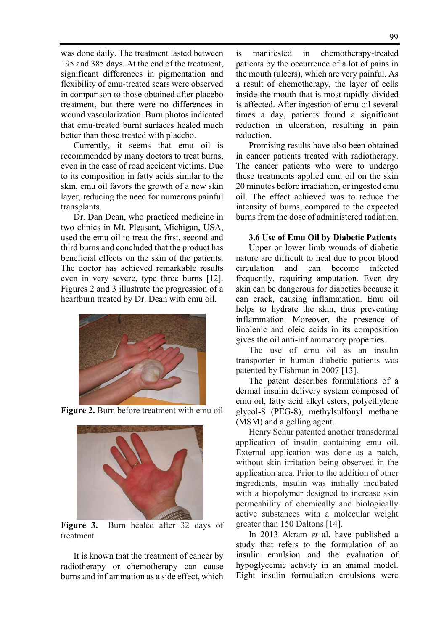was done daily. The treatment lasted between 195 and 385 days. At the end of the treatment, significant differences in pigmentation and flexibility of emu-treated scars were observed in comparison to those obtained after placebo treatment, but there were no differences in wound vascularization. Burn photos indicated that emu-treated burnt surfaces healed much better than those treated with placebo.

Currently, it seems that emu oil is recommended by many doctors to treat burns, even in the case of road accident victims. Due to its composition in fatty acids similar to the skin, emu oil favors the growth of a new skin layer, reducing the need for numerous painful transplants.

Dr. Dan Dean, who practiced medicine in two clinics in Mt. Pleasant, Michigan, USA, used the emu oil to treat the first, second and third burns and concluded that the product has beneficial effects on the skin of the patients. The doctor has achieved remarkable results even in very severe, type three burns [12]. Figures 2 and 3 illustrate the progression of a heartburn treated by Dr. Dean with emu oil.







**Figure 3.** Burn healed after 32 days of treatment

It is known that the treatment of cancer by radiotherapy or chemotherapy can cause burns and inflammation as a side effect, which

is manifested in chemotherapy-treated patients by the occurrence of a lot of pains in the mouth (ulcers), which are very painful. As a result of chemotherapy, the layer of cells inside the mouth that is most rapidly divided is affected. After ingestion of emu oil several times a day, patients found a significant reduction in ulceration, resulting in pain reduction.

Promising results have also been obtained in cancer patients treated with radiotherapy. The cancer patients who were to undergo these treatments applied emu oil on the skin 20 minutes before irradiation, or ingested emu oil. The effect achieved was to reduce the intensity of burns, compared to the expected burns from the dose of administered radiation.

## **3.6 Use of Emu Oil by Diabetic Patients**

Upper or lower limb wounds of diabetic nature are difficult to heal due to poor blood circulation and can become infected frequently, requiring amputation. Even dry skin can be dangerous for diabetics because it can crack, causing inflammation. Emu oil helps to hydrate the skin, thus preventing inflammation. Moreover, the presence of linolenic and oleic acids in its composition gives the oil anti-inflammatory properties.

The use of emu oil as an insulin transporter in human diabetic patients was patented by Fishman in 2007 [13].

The patent describes formulations of a dermal insulin delivery system composed of emu oil, fatty acid alkyl esters, polyethylene glycol-8 (PEG-8), methylsulfonyl methane (MSM) and a gelling agent.

Henry Schur patented another transdermal application of insulin containing emu oil. External application was done as a patch, without skin irritation being observed in the application area. Prior to the addition of other ingredients, insulin was initially incubated with a biopolymer designed to increase skin permeability of chemically and biologically active substances with a molecular weight greater than 150 Daltons [14].

In 2013 Akram *et* al. have published a study that refers to the formulation of an insulin emulsion and the evaluation of hypoglycemic activity in an animal model. Eight insulin formulation emulsions were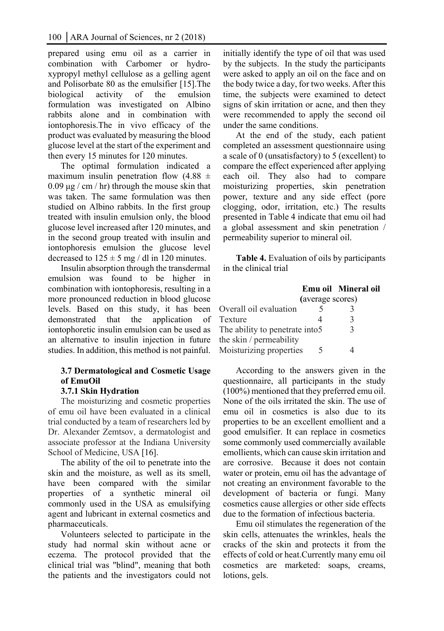prepared using emu oil as a carrier in combination with Carbomer or hydroxypropyl methyl cellulose as a gelling agent and Polisorbate 80 as the emulsifier [15].The biological activity of the emulsion formulation was investigated on Albino rabbits alone and in combination with iontophoresis.The in vivo efficacy of the product was evaluated by measuring the blood glucose level at the start of the experiment and then every 15 minutes for 120 minutes.

The optimal formulation indicated a maximum insulin penetration flow  $(4.88 \pm$  $0.09 \mu g$  / cm / hr) through the mouse skin that was taken. The same formulation was then studied on Albino rabbits. In the first group treated with insulin emulsion only, the blood glucose level increased after 120 minutes, and in the second group treated with insulin and iontophoresis emulsion the glucose level decreased to  $125 \pm 5$  mg / dl in 120 minutes.

Insulin absorption through the transdermal emulsion was found to be higher in combination with iontophoresis, resulting in a more pronounced reduction in blood glucose levels. Based on this study, it has been demonstrated that the application of iontophoretic insulin emulsion can be used as an alternative to insulin injection in future studies. In addition, this method is not painful.

# **3.7 Dermatological and Cosmetic Usage of EmuOil**

## **3.7.1 Skin Hydration**

The moisturizing and cosmetic properties of emu oil have been evaluated in a clinical trial conducted by a team of researchers led by Dr. Alexander Zemtsov, a dermatologist and associate professor at the Indiana University School of Medicine, USA [16].

The ability of the oil to penetrate into the skin and the moisture, as well as its smell, have been compared with the similar properties of a synthetic mineral oil commonly used in the USA as emulsifying agent and lubricant in external cosmetics and pharmaceuticals.

Volunteers selected to participate in the study had normal skin without acne or eczema. The protocol provided that the clinical trial was "blind", meaning that both the patients and the investigators could not initially identify the type of oil that was used by the subjects. In the study the participants were asked to apply an oil on the face and on the body twice a day, for two weeks. After this time, the subjects were examined to detect signs of skin irritation or acne, and then they were recommended to apply the second oil under the same conditions.

At the end of the study, each patient completed an assessment questionnaire using a scale of 0 (unsatisfactory) to 5 (excellent) to compare the effect experienced after applying each oil. They also had to compare moisturizing properties, skin penetration power, texture and any side effect (pore clogging, odor, irritation, etc.) The results presented in Table 4 indicate that emu oil had a global assessment and skin penetration / permeability superior to mineral oil.

**Table 4.** Evaluation of oils by participants in the clinical trial

|                                 |                  | Emu oil Mineral oil |  |
|---------------------------------|------------------|---------------------|--|
|                                 | (average scores) |                     |  |
| Overall oil evaluation          |                  |                     |  |
| Texture                         |                  |                     |  |
| The ability to penetrate into 5 |                  | 3                   |  |
| the skin / permeability         |                  |                     |  |
| Moisturizing properties         |                  |                     |  |

According to the answers given in the questionnaire, all participants in the study (100%) mentioned that they preferred emu oil. None of the oils irritated the skin. The use of emu oil in cosmetics is also due to its properties to be an excellent emollient and a good emulsifier. It can replace in cosmetics some commonly used commercially available emollients, which can cause skin irritation and are corrosive. Because it does not contain water or protein, emu oil has the advantage of not creating an environment favorable to the development of bacteria or fungi. Many cosmetics cause allergies or other side effects due to the formation of infectious bacteria.

Emu oil stimulates the regeneration of the skin cells, attenuates the wrinkles, heals the cracks of the skin and protects it from the effects of cold or heat.Currently many emu oil cosmetics are marketed: soaps, creams, lotions, gels.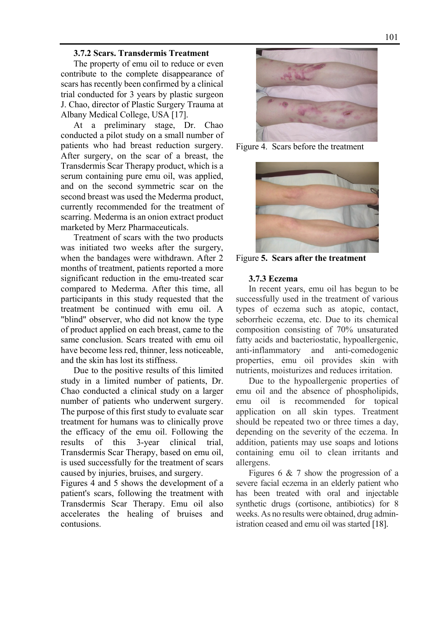#### **3.7.2 Scars. Transdermis Treatment**

The property of emu oil to reduce or even contribute to the complete disappearance of scars has recently been confirmed by a clinical trial conducted for 3 years by plastic surgeon J. Chao, director of Plastic Surgery Trauma at Albany Medical College, USA [17].

At a preliminary stage, Dr. Chao conducted a pilot study on a small number of patients who had breast reduction surgery. After surgery, on the scar of a breast, the Transdermis Scar Therapy product, which is a serum containing pure emu oil, was applied, and on the second symmetric scar on the second breast was used the Mederma product, currently recommended for the treatment of scarring. Mederma is an onion extract product marketed by Merz Pharmaceuticals.

Treatment of scars with the two products was initiated two weeks after the surgery, when the bandages were withdrawn. After 2 months of treatment, patients reported a more significant reduction in the emu-treated scar compared to Mederma. After this time, all participants in this study requested that the treatment be continued with emu oil. A "blind" observer, who did not know the type of product applied on each breast, came to the same conclusion. Scars treated with emu oil have become less red, thinner, less noticeable, and the skin has lost its stiffness.

Due to the positive results of this limited study in a limited number of patients, Dr. Chao conducted a clinical study on a larger number of patients who underwent surgery. The purpose of this first study to evaluate scar treatment for humans was to clinically prove the efficacy of the emu oil. Following the results of this 3-year clinical trial, Transdermis Scar Therapy, based on emu oil, is used successfully for the treatment of scars caused by injuries, bruises, and surgery.

Figures 4 and 5 shows the development of a patient's scars, following the treatment with Transdermis Scar Therapy. Emu oil also accelerates the healing of bruises and contusions.



Figure 4. Scars before the treatment



Figure **5. Scars after the treatment** 

## **3.7.3 Eczema**

In recent years, emu oil has begun to be successfully used in the treatment of various types of eczema such as atopic, contact, seborrheic eczema, etc. Due to its chemical composition consisting of 70% unsaturated fatty acids and bacteriostatic, hypoallergenic, anti-inflammatory and anti-comedogenic properties, emu oil provides skin with nutrients, moisturizes and reduces irritation.

Due to the hypoallergenic properties of emu oil and the absence of phospholipids, emu oil is recommended for topical application on all skin types. Treatment should be repeated two or three times a day, depending on the severity of the eczema. In addition, patients may use soaps and lotions containing emu oil to clean irritants and allergens.

Figures 6 & 7 show the progression of a severe facial eczema in an elderly patient who has been treated with oral and injectable synthetic drugs (cortisone, antibiotics) for 8 weeks. As no results were obtained, drug administration ceased and emu oil was started [18].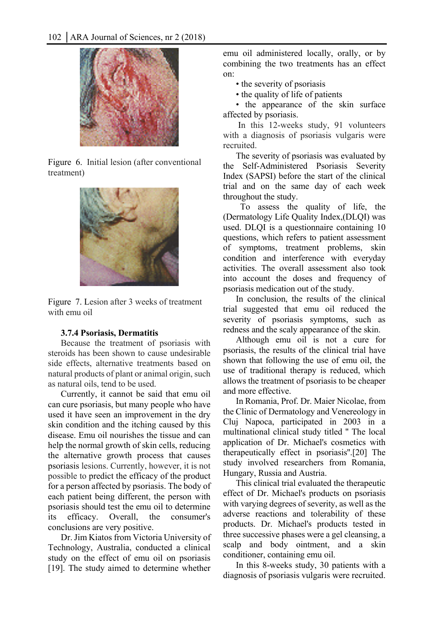

Figure 6. Initial lesion (after conventional treatment)



Figure 7. Lesion after 3 weeks of treatment with emu oil

## **3.7.4 Psoriasis, Dermatitis**

Because the treatment of psoriasis with steroids has been shown to cause undesirable side effects, alternative treatments based on natural products of plant or animal origin, such as natural oils, tend to be used.

Currently, it cannot be said that emu oil can cure psoriasis, but many people who have used it have seen an improvement in the dry skin condition and the itching caused by this disease. Emu oil nourishes the tissue and can help the normal growth of skin cells, reducing the alternative growth process that causes psoriasis lesions. Currently, however, it is not possible to predict the efficacy of the product for a person affected by psoriasis. The body of each patient being different, the person with psoriasis should test the emu oil to determine its efficacy. Overall, the consumer's conclusions are very positive.

Dr. Jim Kiatos from Victoria University of Technology, Australia, conducted a clinical study on the effect of emu oil on psoriasis [19]. The study aimed to determine whether emu oil administered locally, orally, or by combining the two treatments has an effect on:

• the severity of psoriasis

• the quality of life of patients

• the appearance of the skin surface affected by psoriasis.

 In this 12-weeks study, 91 volunteers with a diagnosis of psoriasis vulgaris were recruited.

The severity of psoriasis was evaluated by the Self-Administered Psoriasis Severity Index (SAPSI) before the start of the clinical trial and on the same day of each week throughout the study.

 To assess the quality of life, the (Dermatology Life Quality Index,(DLQI) was used. DLQI is a questionnaire containing 10 questions, which refers to patient assessment of symptoms, treatment problems, skin condition and interference with everyday activities. The overall assessment also took into account the doses and frequency of psoriasis medication out of the study.

In conclusion, the results of the clinical trial suggested that emu oil reduced the severity of psoriasis symptoms, such as redness and the scaly appearance of the skin.

Although emu oil is not a cure for psoriasis, the results of the clinical trial have shown that following the use of emu oil, the use of traditional therapy is reduced, which allows the treatment of psoriasis to be cheaper and more effective.

In Romania, Prof. Dr. Maier Nicolae, from the Clinic of Dermatology and Venereology in Cluj Napoca, participated in 2003 in a multinational clinical study titled '' The local application of Dr. Michael's cosmetics with therapeutically effect in psoriasis''.[20] The study involved researchers from Romania, Hungary, Russia and Austria.

This clinical trial evaluated the therapeutic effect of Dr. Michael's products on psoriasis with varying degrees of severity, as well as the adverse reactions and tolerability of these products. Dr. Michael's products tested in three successive phases were a gel cleansing, a scalp and body ointment, and a skin conditioner, containing emu oil.

In this 8-weeks study, 30 patients with a diagnosis of psoriasis vulgaris were recruited.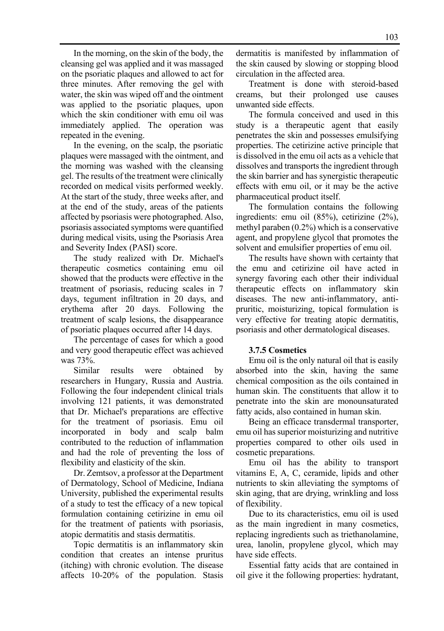In the morning, on the skin of the body, the cleansing gel was applied and it was massaged on the psoriatic plaques and allowed to act for three minutes. After removing the gel with water, the skin was wiped off and the ointment was applied to the psoriatic plaques, upon which the skin conditioner with emu oil was immediately applied. The operation was repeated in the evening.

In the evening, on the scalp, the psoriatic plaques were massaged with the ointment, and the morning was washed with the cleansing gel. The results of the treatment were clinically recorded on medical visits performed weekly. At the start of the study, three weeks after, and at the end of the study, areas of the patients affected by psoriasis were photographed. Also, psoriasis associated symptoms were quantified during medical visits, using the Psoriasis Area and Severity Index (PASI) score.

The study realized with Dr. Michael's therapeutic cosmetics containing emu oil showed that the products were effective in the treatment of psoriasis, reducing scales in 7 days, tegument infiltration in 20 days, and erythema after 20 days. Following the treatment of scalp lesions, the disappearance of psoriatic plaques occurred after 14 days.

The percentage of cases for which a good and very good therapeutic effect was achieved was 73%.

Similar results were obtained by researchers in Hungary, Russia and Austria. Following the four independent clinical trials involving 121 patients, it was demonstrated that Dr. Michael's preparations are effective for the treatment of psoriasis. Emu oil incorporated in body and scalp balm contributed to the reduction of inflammation and had the role of preventing the loss of flexibility and elasticity of the skin.

Dr. Zemtsov, a professor at the Department of Dermatology, School of Medicine, Indiana University, published the experimental results of a study to test the efficacy of a new topical formulation containing cetirizine in emu oil for the treatment of patients with psoriasis, atopic dermatitis and stasis dermatitis.

Topic dermatitis is an inflammatory skin condition that creates an intense pruritus (itching) with chronic evolution. The disease affects 10-20% of the population. Stasis

dermatitis is manifested by inflammation of the skin caused by slowing or stopping blood circulation in the affected area.

Treatment is done with steroid-based creams, but their prolonged use causes unwanted side effects.

The formula conceived and used in this study is a therapeutic agent that easily penetrates the skin and possesses emulsifying properties. The cetirizine active principle that is dissolved in the emu oil acts as a vehicle that dissolves and transports the ingredient through the skin barrier and has synergistic therapeutic effects with emu oil, or it may be the active pharmaceutical product itself.

The formulation contains the following ingredients: emu oil (85%), cetirizine (2%), methyl paraben (0.2%) which is a conservative agent, and propylene glycol that promotes the solvent and emulsifier properties of emu oil.

The results have shown with certainty that the emu and cetirizine oil have acted in synergy favoring each other their individual therapeutic effects on inflammatory skin diseases. The new anti-inflammatory, antipruritic, moisturizing, topical formulation is very effective for treating atopic dermatitis, psoriasis and other dermatological diseases.

## **3.7.5 Cosmetics**

Emu oil is the only natural oil that is easily absorbed into the skin, having the same chemical composition as the oils contained in human skin. The constituents that allow it to penetrate into the skin are monounsaturated fatty acids, also contained in human skin.

Being an efficace transdermal transporter, emu oil has superior moisturizing and nutritive properties compared to other oils used in cosmetic preparations.

Emu oil has the ability to transport vitamins E, A, C, ceramide, lipids and other nutrients to skin alleviating the symptoms of skin aging, that are drying, wrinkling and loss of flexibility.

Due to its characteristics, emu oil is used as the main ingredient in many cosmetics, replacing ingredients such as triethanolamine, urea, lanolin, propylene glycol, which may have side effects.

Essential fatty acids that are contained in oil give it the following properties: hydratant,